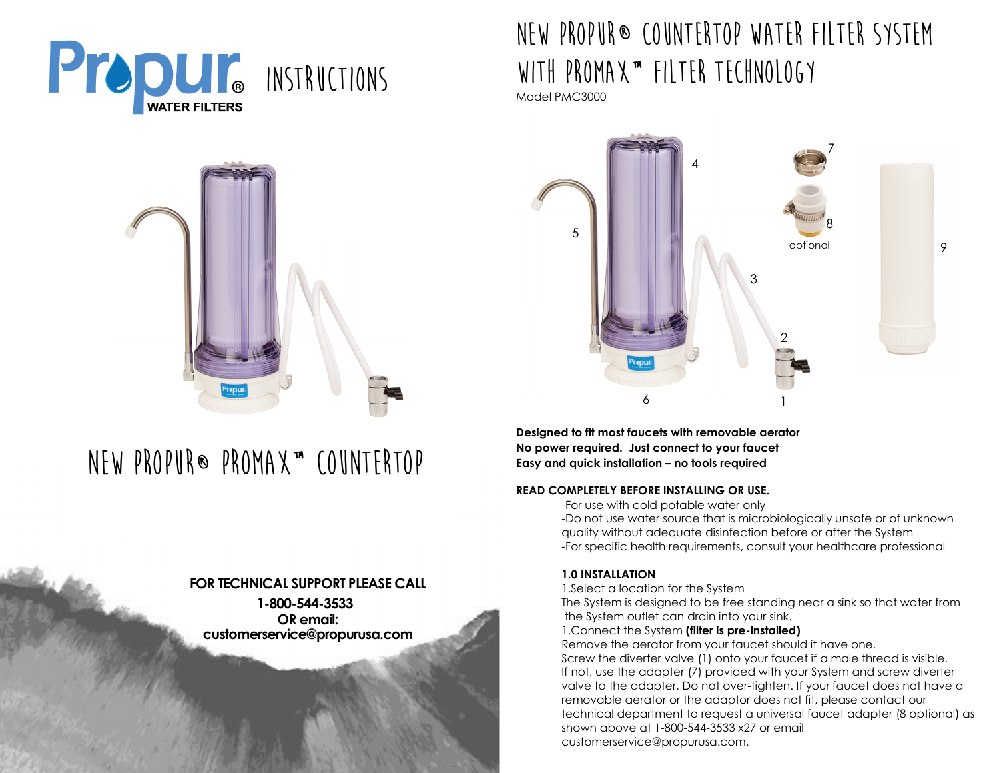



# **NeW PROPUR® ProMax™ Countertop**

## **FOR TECHNICAL SUPPORT PLEASE CALL 1-800-544-3533 OR email: customerservice@propurusa.com**

## **New Propur® Countertop Water Filter System with ProMax™ Filter Technology**

Model PMC3000



**Designed to fit most faucets with removable aeratorNo power required. Just connect to your faucet Easy and quick installation – no tools required** 

#### **READ COMPLETELY BEFORE INSTALLING OR USE.**

-For use with cold potable water only

 -Do not use water source that is microbiologically unsafe or of unknown quality without adequate disinfection before or after the System -For specific health requirements, consult your healthcare professional

## **1.0 INSTALLATION**

1.Select a location for the System

 The System is designed to be free standing near a sink so that water from the System outlet can drain into your sink.

#### 1.Connect the System **(filter is pre-installed)**

 Remove the aerator from your faucet should it have one. Screw the diverter valve (1) onto your faucet if a male thread is visible. If not, use the adapter (7) provided with your System and screw diverter valve to the adapter. Do not over-tighten. If your faucet does not have a removable aerator or the adaptor does not fit, please contact our technical department to request a universal faucet adapter (8 optional) as shown above at 1-800-544-3533 x27 or email customerservice@propurusa.com.